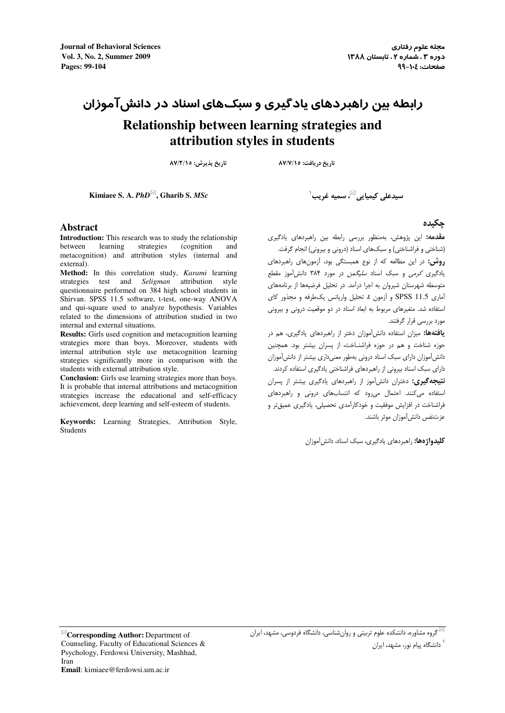**Journal of Behavioral Sciences** Vol. 3, No. 2, Summer 2009 Pages: 99-104

# رابطه بین راهبردهای یادگیری و سبک&ای اسناد در دانش آموزان Relationship between learning strategies and attribution styles in students

تاریخ پذیرش: ٨٧/٢/١٥

تاریخ دریافت: ٨٧/٧/١٥

Kimiaee S. A.  $PhD^{\boxtimes}$ , Gharib S. MSc

سيدعلى كيميايي<sup>⊠</sup>، سميه غريب<sup>\</sup>

#### **Abstract**

**Introduction:** This research was to study the relationship between learning strategies (cognition and metacognition) and attribution styles (internal and external).

Method: In this correlation study, Karami learning strategies test and Seligman attribution style questionnaire performed on 384 high school students in Shirvan. SPSS 11.5 software, t-test, one-way ANOVA and qui-square used to analyze hypothesis. Variables related to the dimensions of attribution studied in two internal and external situations.

Results: Girls used cognition and metacognition learning strategies more than boys. Moreover, students with internal attribution style use metacognition learning strategies significantly more in comparison with the students with external attribution style.

**Conclusion:** Girls use learning strategies more than boys. It is probable that internal attributions and metacognition strategies increase the educational and self-efficacy achievement, deep learning and self-esteem of students.

Keywords: Learning Strategies, Attribution Style, Students

حكىدە

.<br>**مقدمه:** این پژوهش، بهمنظور بررسی رابطه بین راهبردهای پادگیری (شناختی و فراشناختی) و سبکهای اسناد (درونی و بیرونی) انجام گرفت.

**روش:** در این مطالعه که از نوع همبستگی بود، آزمونهای راهبردهای .<br>یادگیری *کرمی* و سبک اسناد *سلیگمن* در مورد ۳۸۴ دانش آموز مقطع .<br>متوسطه شهرستان شیروان به اجرا درآمد. در تحلیل فرضیهها از برنامههای آماري 11.5 SPSS و آزمون d تحليل واربانس بكيطرفه و محذور كاي استفاده شد. متغیرهای مربوط به ابعاد اسناد در دو موقعیت درونی و بیرونی مورد بررسی قرار گرفتند.

**یافتهها:** میزان استفاده دانش آموزان دختر از راهبردهای یادگیری، هم در حوزه شناخت و هم در حوزه فراشنـاخت، از پسران بیشتر بود. همچنین دانش آموزان دارای سبک اسناد درونی بهطور معنیداری بیشتر از دانش آموزان دارای سبک اسناد بیرونی از راهبردهای فراشناختی بادگیری استفاده کردند. **نتیجه گیری:** دختران دانش آموز از راهبردهای یادگیری بیشتر از پسران استفاده میکنند. احتمال میرود که انتسابهای درونی و راهبردهای .<br>فراشناخت در افزایش موفقیت و خودکارآمدی تحصیلی، یادگیری عمیق *ت*ر و عزتنفس دانش آموزان موثر باشند.

**کلیدواژهها:** راهبردهای بادگیری، سبک اسناد، دانش آموزان

گروه مشاوره، دانشکده علوم تربیتی و روان شناسی، دانشگاه فردوسی، مشهد، ایران  $\mathbb Z$ 

٬<br>دانشگاه پیام نور، مشهد، ایران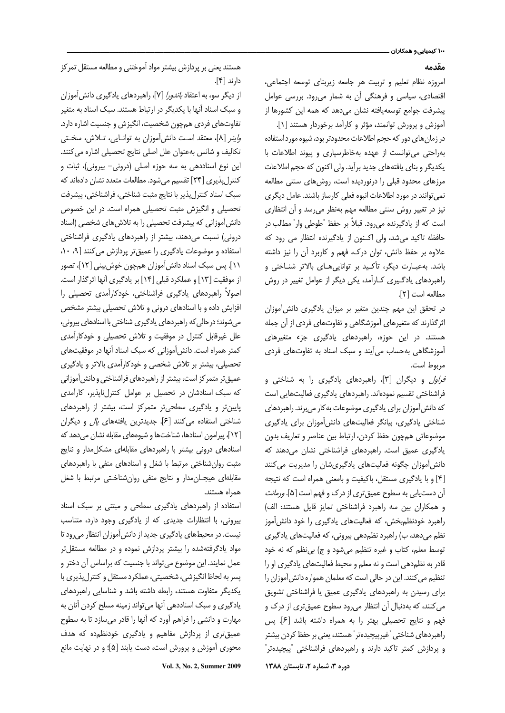#### مقدمه

امروزه نظام تعليم وتربيت هر جامعه زيربناي توسعه اجتماعي، اقتصادی، سیاسی و فرهنگی آن به شمار می رود. بررسی عوامل ييشرفت جوامع توسعه يافته نشان مى دهد كه همه اين كشورها از آموزش و پرورش توانمند، مؤثر و کارآمد برخوردار هستند [۱].

در زمان های دور که حجم اطلاعات محدودتر بود، شیوه مورد استفاده بهراحتی می توانست از عهده بهخاطرسپاری و پیوند اطلاعات با یکدیگر و بنای یافتههای جدید برآید. ولی اکنون که حجم اطلاعات مرزهای محدود قبلی را درنوردیده است، روش های سنتی مطالعه نمی توانند در مورد اطلاعات انبوه فعلی کارساز باشند. عامل دیگری نیز در تغییر روش سنتی مطالعه مهم بهنظر می رسد و آن انتظاری است که از یادگیرنده می٫ود. قبلاً بر حفظ "طوطی وار" مطالب در حافظه تاکید می شد، ولی اکنون از یادگیرنده انتظار می رود که علاوه بر حفظ دانش، توان درک، فهم و کاربرد آن را نیز داشته باشد. بهعبـارت دیگر، تأکـید بر تواناییهـای بالاتر شنـاختی و راهبردهای یادگیری کـارآمد، یکی دیگر از عوامل تغییر در روش مطالعه است [٢].

در تحقق این مهم چندین متغیر بر میزان یادگیری دانش آموزان اثرگذارند که متغیرهای آموزشگاهی و تفاوتهای فردی از آن جمله هستند. در این حوزه، راهبردهای یادگیری جزء متغیرهای آموزشگاهی به حساب می آیند و سبک اسناد به تفاوتهای فردی مربوط است.

*فراول* و دیگران [۳]، راهبردهای یادگیری را به شناختی و فراشناختی تقسیم نمودهاند. راهبردهای یادگیری فعالیتهایی است که دانش آموزان برای یادگیری موضوعات به کار میبرند. راهبردهای شناختی یادگیری، بیانگر فعالیتهای دانش آموزان برای یادگیری موضوعاتي همچون حفظ كردن، ارتباط بين عناصر و تعاريف بدون یادگیری عمیق است. راهبردهای فراشناختی نشان می دهند که دانش آموزان چگونه فعالیتهای یادگیریشان را مدیریت می کنند [۴] و با یادگیری مستقل، باکیفیت و بامعنی همراه است که نتیجه آن دستیابی به سطوح عمیقتری از درک و فهم است [۵]. *ورمانت* و همكاران بين سه راهبرد فراشناختى تمايز قايل هستند: الف) راهبرد خودنظم بخش، که فعالیتهای یادگیری را خود دانش آموز نظم میدهد، ب) راهبرد نظمدهی بیرونی، که فعالیتهای یادگیری توسط معلم، كتاب و غيره تنظيم مي شود و ج) بي نظم كه نه خود قادر به نظم دهی است و نه معلم و محیط فعالیتهای یادگیری او را تنظیم می کنند. این در حالی است که معلمان همواره دانش آموزان را برای رسیدن به راهبردهای یادگیری عمیق یا فراشناختی تشویق می کنند، که بهدنبال آن انتظار می رود سطوح عمیق تری از درک و فهم و نتايج تحصيلي بهتر را به همراه داشته باشد [۶]. پس راهبردهای شناختی "غیرپیچیدهتر" هستند، یعنی بر حفظ کردن بیشتر و پردازش کمتر تاکید دارند و راهبردهای فراشناختی "پیچیدهتر" دوره ۳، شماره ۲، تابستان ۱۳۸۸

هستند یعنی بر پردازش بیشتر مواد آموختنی و مطالعه مستقل تمر کز دارند [۴].

از دیگر سو، به اعتقاد *باندورا* [۷]، راهبردهای یادگیری دانش[موزان و سبک اسناد آنها با یکدیگر در ارتباط هستند. سبک اسناد به متغیر تفاوتهای فردی همچون شخصیت، انگیزش و جنسیت اشاره دارد. ه اینر [٨]، معتقد است دانش آموزان به توانایی، تلاش، سختی تكاليف و شانس به عنوان علل اصلى نتايج تحصيلى اشاره مى كنند. این نوع اسناددهی به سه حوزه اصلی (درونی- بیرونی)، ثبات و کنترل پذیری [۲۴] تقسیم می شود. مطالعات متعدد نشان دادهاند که سبک اسناد کنترلپذیر با نتایج مثبت شناختی، فراشناختی، پیشرفت تحصیلی و انگیزش مثبت تحصیلی همراه است. در این خصوص دانش آموزانی که پیشرفت تحصیلی را به تلاش های شخصی (اسناد درونی) نسبت میدهند، بیشتر از راهبردهای یادگیری فراشناختی استفاده و موضوعات یادگیری را عمیق تر پردازش می کنند [۹، ۱۰، ١١]. پس سبک اسناد دانش[موزان همچون خوش بینی [١٢]، تصور از موفقیت [١٣] و عملکرد قبلی [١۴] بر یادگیری آنها اثرگذار است. اصولاً راهبردهای یادگیری فراشناختی، خودکارآمدی تحصیلی را افزایش داده و با اسنادهای درونی و تلاش تحصیلی بیشتر مشخص می شوند؛ درحالی که راهبردهای یادگیری شناختی با اسنادهای بیرونی، علل غیرقابل کنترل در موفقیت و تلاش تحصیلی و خودکارآمدی کمتر همراه است. دانش آموزانی که سبک اسناد آنها در موفقیتهای تحصیلی، بیشتر بر تلاش شخصی و خودکارآمدی بالاتر و یادگیری عمیق تر متمر کز است، بیشتر از راهبردهای فراشناختی و دانش آموزانی که سبک اسنادشان در تحصیل بر عوامل کنترلناپذیر، کارآمدی پایین تر و یادگیری سطحی تر متمرکز است، بیشتر از راهبردهای شناختی استفاده می کنند [۶]. جدیدترین یافتههای *پال* و دیگران [١٢]، پیرامون اسنادها، شناختها و شیوههای مقابله نشان می دهد که اسنادهای درونی بیشتر با راهبردهای مقابلهای مشکل مدار و نتایج مثبت روان شناختی مرتبط با شغل و اسنادهای منفی با راهبردهای مقابلهای هیجـانِمدار و نتایج منفی روانِشناخـتی مرتبط با شغل همراه هستند.

استفاده از راهبردهای یادگیری سطحی و مبتنی بر سبک اسناد بیرونی، با انتظارات جدیدی که از یادگیری وجود دارد، متناسب نیست. در محیطهای یادگیری جدید از دانش آموزان انتظار می رود تا مواد یادگرفتهشده را بیشتر پردازش نموده و در مطالعه مستقلتر عمل نمایند. این موضوع میتواند با جنسیت که براساس آن دختر و پسر به لحاظ انگیزشی، شخصیتی، عملکرد مستقل و کنترل پذیری با یکدیگر متفاوت هستند، رابطه داشته باشد و شناسایی راهبردهای یادگیری و سبک اسناددهی آنها میتواند زمینه مسلح کردن آنان به مهارت و دانشی را فراهم آورد که آنها را قادر میسازد تا به سطوح عمیق تری از پردازش مفاهیم و یادگیری خودنظم ده که هدف محوری آموزش و پرورش است، دست یابند [۵]؛ و در نهایت مانع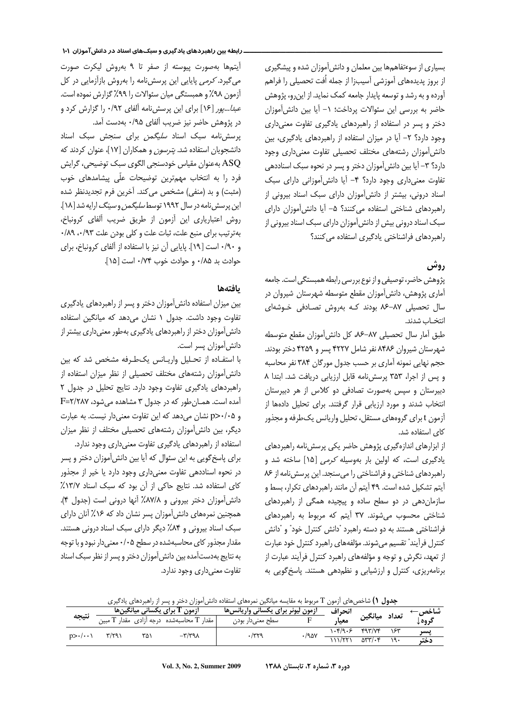بسیاری از سوءتفاهمها بین معلمان و دانش آموزان شده و پیشگیری ز بروز پدیدههای آموزشی آسیبزا از جمله اُفت تحصیلی را فراهم  $\vdots$ آورده و به رشد و توسعه پایدار جامعه کمک نماید. از اینرو، پژوهش حاضر به بررسی این سئوالات پرداخت؛ ١- آیا بین دانش آموزان دختر و پسر در استفاده از راهبردهای یادگیری تفاوت معنیداری وجود دارد؟ ٢- آيا در ميزان استفاده از راهبردهاى يادگيرى، بين دانشآموزان رشتههای مختلف تحصیلی تفاوت معنیداری وجود دارد؟ ٣- آيا بين دانش[موزان دختر و پسر در نحوه سبک اسناددهي نفاوت معنی داری وجود دارد؟ ۴- آیا دانش آموزانی دارای سبک سناد درونی، بیشتر از دانش آموزان دارای سبک اسناد بیرونی از راهبردهای شناختی استفاده میکنند؟ ۵– آیا دانشآموزان دارای سبک اسناد درونی بیش از دانش[موزان دارای سبک اسناد بیرونی از راهبردهای فراشناختی بادگیری استفاده م*ی ک*نند؟

# روش

بژوهش حاضر، توصیفی و از نوع بررسی رابطه همبستگی است. جامعه آماری پژوهش، دانشآموزان مقطع متوسطه شهرستان شیروان در سال تحصیلی ۸۷-۸۶ بودند کـه بهروش تصـادفی خـوشهای انتخـاب شدند.

طبق آمار سال تحصیلی ۸۷–۸۶، کل دانشآموزان مقطع متوسطه شهرستان شیروان ۸۴۸۶ نفر شامل ۴۲۲۷ پسر و ۴۲۵۹ دختر بودند. حجم نهایی نمونه آماری بر حسب جدول مورگان ۳۸۴ نفر محاسبه و پس از اجرا، ۳۵۳ پرسش نامه قابل ارزیابی دریافت شد. ابتدا ۸ دبیرستان و سپس بهصورت تصادفی دو کلاس از هر دبیرستان نتخاب شدند و مورد ارزيابي قرار گرفتند. براي تحليل دادمها از زمون t برای گروههای مستقل، تحلیل واریانس یک طرفه و مجذور .<br>ا كاي استفاده شد.

ز ابزارهای اندازهگیری پژوهش حاضر یکی پرسشنامه راهبردهای  $\vdots$ بادگیری است، که اولین بار بهوسیله *کرمی* [۱۵] ساخته شد و راهبردهای شناختی و فراشناختی را می سنجد. این پرسش نامه از ۸۶ آیتم تشکیل شده است. ۴۹ آیتم آن مانند راهبردهای تکرار، بسط و سازمان دهی در دو سطح ساده و پیچیده همگی از راهبردهای شناختی محسوب می شوند. ۳۷ آیتم که مربوط به راهبردهای فراشناختی هستند به دو دسته راهبرد "دانش کنترل خود" و "دانش کنترل فرآیند" تقسیم می شوند. مؤلفههای راهبرد کنترل خود عبارت ز تعهد، نگرش و توجه و مؤلفههای راهبرد کنترل فرآیند عبارت از  $\vdots$ برنامهریزی، کنترل و ارزشیابی و نظم دهی هستند. پاسخ گویی به

#### ـــــــــــــــــــــــــــــــــــــــــــــــــــــــــــــــــ ـ رابطه بين راهبردهاي يادگيري و سبكهاي اسناد در دانشآموزان 101

أيتمها بهصورت پيوسته از صفر تا ۹ بهروش ليكرت صورت میگیرد. *کرمی* پایایی این پرسشنامه را بهروش بازآزمایی در کل آزمون ۹۸٪ و همبستگی میان سئوالات را ۹۹٪ گزارش نموده است. .<br>ا عب*دا...پور* [۱۶] برای این پرسشiامه آلفای ۰/۹۲ را گزارش کرد و در پژوهش حاضر نیز ضریب آلفای ۰/۹۵ بهدست آمد.

پرسشنامه سبک اسناد *سلیگمن* برای سنجش سبک اسناد دانشجویان استفاده شد. *پترسون* و همکاران [۱۷]، عنوان کردند که ASQ بهعنوان مقياس خودسنجي الگوي سبک توضيحي، گرايش فرد را به انتخاب مهمترین توضیحات علّی پیشامدهای خوب (مثبت) و بد (منفي) مشخص مي كند. آخرين فرم تجديدنظر شده ین پرسش نامه در سال ۱۹۹۲ توسط *سلیگمن و سینگ* ارایه شد [۱۸]. روش اعتبارياري اين آزمون از طريق ضريب آلفاي كرونباخ، بهترتيب براي منبع علت، ثبات علت و كلي بودن علت ٩٣/٠، ٨٩. و ۰/۹۰ است [۱۹]. پایایی آن نیز با استفاده از آلفای کرونباخ، برای حوادث بد ۰/۸۵ و حوادث خوب ۰/۷۴ است [۱۵].

## بافتهها

بین میزان استفاده دانش[موزان دختر و پسر از راهبردهای یادگیری تفاوت وجود داشت. جدول ١ نشان می دهد که میانگین استفاده دانشآموزان دختر از راهبردهای یادگیری بهطور معنیداری بیشتر از دانش[موزان پسر است.

با استفـاده از تحـليل واريـانس يك1طـرفه مشخص شد كه بين دانشآموزان رشتههای مختلف تحصیلی از نظر میزان استفاده از راهبردهای یادگیری تفاوت وجود دارد. نتایج تحلیل در جدول ٢ آمده است. همان طور که در جدول ۳ مشاهده می شود، F=۲/۲۸۷ و p>٠/٠۵ نشان می دهد که این تفاوت معنی دار نیست. به عبارت دیگر، بین دانشآموزان رشتههای تحصیلی مختلف از نظر میزان

ستفاده از راهبردهای یادگیری تفاوت معنیداری وجود ندارد. برای پاسخ گویی به این سئوال که آیا بین دانش[موزان دختر و پسر در نحوه اسناددهی تفاوت معنیداری وجود دارد یا خیر از مجذور كاى استفاده شد. نتايج حاكى از آن بود كه سبك اسناد ١٣/٧٪ دانش آموزان دختر بيروني و ٨٧/٨٪ آنها دروني است (جدول ۴). همچنین نمرههای دانش[موزان پسر نشان داد که ۱۶٪ آنان دارای سبک اسناد بیرونی و ۸۴٪ دیگر دارای سبک اسناد درونی هستند. مقدار مجذور کای محاسبهشده در سطح ۰/۰۵ معنی دار نبود و با توجه به نتايج بهدستآمده بين دانش[موزان دختر و پسر از نظر سبک اسناد تفاوت معنىدارى وجود ندارد.

| ج <b>دول ۱)</b> شاخصهای آزمون T مربوط به مقایسه میانگین نمرههای استفاده دانشآموزان دختر و پسر از راهبردهای یادگیری |  |  |  |
|--------------------------------------------------------------------------------------------------------------------|--|--|--|
|--------------------------------------------------------------------------------------------------------------------|--|--|--|

|                           |       |     | آزمون I برای یکسانی میانگینها      | ازمون لیونر برای یکسانی واریانس۵ا |       | انحراف  |                                 |     | ِ شاخص — |
|---------------------------|-------|-----|------------------------------------|-----------------------------------|-------|---------|---------------------------------|-----|----------|
| نتيجه                     | 1 میں |     | مقدار T محاسبهشده درجه آزادی مقدار | سطح معنىدار بودن                  |       | معيار   | تعداد ميانگين                   |     | گروه گ   |
| $p > \cdot / \cdot \cdot$ |       | ۳۵۱ | $-\mathsf{r}/\mathsf{r}$ ۹۸        |                                   | ۰/۹۵۷ | ۱۰۴/۹۰۶ | 447/46                          |     | يسر      |
|                           |       |     |                                    |                                   |       | /77'    | $\delta r\mathbf{y}/\mathbf{y}$ | ۱۹۰ | دخت      |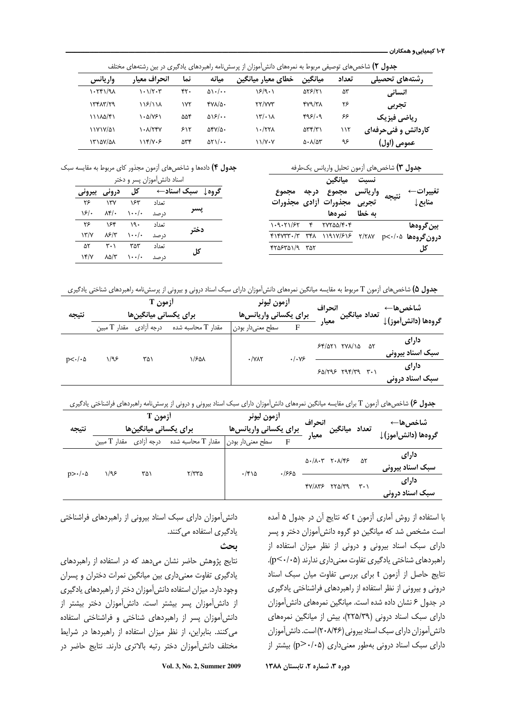ج**دول ۲)** شاخصهای توصیفی مربوط به نمرههای دانش[موزان از پرسشنامه راهبردهای یادگیری در بین رشتههای مختلف

|               | ີ            |     | ັ                                  | 79 J LJ J J LJ<br>ີ                    | ں ں ر وں رور ا                            |       |                     |
|---------------|--------------|-----|------------------------------------|----------------------------------------|-------------------------------------------|-------|---------------------|
| واريانس       | انحراف معيا, | نما | ميانه                              | خطاي معيار ميانگين                     | ميانگين                                   | تعداد | رشتههای تحصیلی      |
| ۱۰۲۴۱/۹۸      | ۰۰۱/۲۰۳      | ۴۲۰ | $\Delta$ \ $\cdot$ / $\cdot$ +     | ۱۶/۹۰۱                                 | 588121                                    | ۵٣    | انساني              |
| $\frac{1}{4}$ | ۱۱۶/۱۱۸      | ۱۷۲ | $YV\Lambda/\Delta$                 | <b>٢٢/٧٧٣</b>                          | $fVQ/T\Lambda$                            | ۲۶    | تجربي               |
| 11180/۴1      | ۱۰۵/۷۶۱      | ۵۵۴ | $\Delta$ \ $\mathcal{F}/\cdot$     | $\mathcal{N}^{\prime}$ . $\mathcal{N}$ | 495/19                                    | ۶۶    | رياضي فيزيك         |
| 11717/01      | ۱۰۸/۲۴۷      | ۶۱۲ | $\Delta f V/\Delta$ .              | ۱۰/۲۲۸                                 | $\Delta \mathbf{r} \mathbf{r}/\mathbf{r}$ | ۱۱۲   | کاردانش و فنیحرفهای |
| 15127/21      | ۱۱۴/۷۰۶      | ۵۳۴ | $\Delta Y \setminus / \cdot \cdot$ | $11/V\cdot V$                          | $\Delta$ . $\Lambda/\Delta$ ۳             | ۹۶    | عمومی (اول)         |

| جدول ٣) شاخصهاي أزمون تحليل واريانس يكطرفه |
|--------------------------------------------|
|--------------------------------------------|

تغييرات← منابع↓ نتيجه نسبت واریانس مجموع درجه مجموع تجربی مجذورات أزادی مجذورات به خطا۔ نمرهھا ميانگين بين گروهها درون گروهها ۲/۰۵– ۲/۲۸۷ ۱۱۹۱۷/۶۱۶ ۱۴۸ ۳۴۸ ۴۱۴۷۳۳۰/۳ کل  $1.9.71/57$   $F$   $7YY\Delta\Delta/F\cdot F$  $Y\alpha Y\alpha Y$ 

**جدول ۴)** دادهها و شاخصهای آزمون مجذور کای مربوط به مقایسه سبک اسناد دانش آموزان بسر و دختر

|                    |       | ں رہی ہے   |       |                  |
|--------------------|-------|------------|-------|------------------|
| بيروني             | درونی | کل         |       | گروه↓ سبک اسناد← |
| ۲۶                 | ۱۳۷   | ۱۶۳        | تعداد |                  |
| ۱۶۱۰               | ۸۴/۰  | ۰۰/۰۱      | در صد | يسر              |
| ۳۶                 | ۱۶۴   | ۱۹۰        | تعداد |                  |
| $\frac{1}{\gamma}$ | ۸۶/۳  | $\cdots$ . | در صد | دختر             |
| ۵۲                 | ۳۰۱   | ۳۵۳        | تعداد | کا ،             |
| YY/Y               | ۸۵/۳  | ۰۰/۰۱      | در صد |                  |

ج**دول ۵**) شاخصهای آزمون T مربوط به مقایسه میانگین نمرههای دانش[موزان دارای سبک اسناد درونی و بیرونی از پرسشiمه راهبردهای شناختی یادگیری

| نتيجه                  |              | آزمون T<br>برای یکسانی میانگینها |                          | أزمون ليونر<br>برای یکسانی واریانس ها |                         | انحراف<br>معيار | تعداد میانگین آ          |    | شاخصها←<br>گروهها (دانش∫موز)↓ |
|------------------------|--------------|----------------------------------|--------------------------|---------------------------------------|-------------------------|-----------------|--------------------------|----|-------------------------------|
|                        | مقدار T مبين | درجه أزادى                       | مقدار $\rm T$ محاسبه شده | سطح معنىدار بودن                      | F                       |                 |                          |    |                               |
|                        | ۱/۹۶         | ۳۵۱                              | ۱/۶۵۸                    |                                       |                         |                 | $55/071$ $79/10$         | ۵۲ | دارای<br>سبک اسناد بیرونی     |
| $p<\cdot/\cdot \Delta$ |              | $\cdot$ / $\vee$ $\wedge$ $\vee$ | .1.99                    |                                       | $50/795$ $797/79$ $7.1$ |                 | دارای<br>سبک اسناد درونی |    |                               |

**جدول ۶**) شاخصهای آزمون T برای مقایسه میانگین نمرههای دانش[موزان دارای سبک اسناد بیرونی و درونی از پرسشنامه راهبردهای فراشناختی یادگیری

| نتيجه                  |              | آزمون T<br>برای یکسانی میانگینها |                    | أزمون ليونر<br>برای یکسانی واریانس۵ا |                   | انحراف<br>معيار | تعداد ميانگين                             |    | شاخص&ا←<br>گروهها (دانش∫موز)↓ |
|------------------------|--------------|----------------------------------|--------------------|--------------------------------------|-------------------|-----------------|-------------------------------------------|----|-------------------------------|
|                        | مقدار T مبين | درجه آزادى                       | مقدار T محاسبه شده | سطح معنىدار بودن                     | F                 |                 |                                           |    |                               |
|                        | ۱/۹۶         | ۳۵۱                              | ۲/۳۳۵              | $\cdot$ /۴۱۵                         |                   |                 | $\Delta$ ./ $\Lambda$ .۳ ۲. $\Lambda$ /۴۶ | ۵۲ | دارای<br>سبک اسناد بیرونی     |
| $p>\cdot/\cdot \Delta$ |              |                                  | ۶۶۶۵.              |                                      | $fV/AYF$ $fVQ/T9$ | ۳۰۱             | دارای<br>سبک اسناد درونی                  |    |                               |

با استفاده از روش آماری آزمون t که نتایج آن در جدول ۵ آمده ست مشخص شد که میانگین دو گروه دانشآموزان دختر و پسر دارای سبک اسناد بیرونی و درونی از نظر میزان استفاده از راهبردهای شناختی یادگیری تفاوت معنی داری ندارند (p<۰/۰۵). نتايج حاصل از آزمون t براى بررسى تفاوت ميان سبك اسناد درونی و بیرونی از نظر استفاده از راهبردهای فراشناختی یادگیری در جدول ۶ نشان داده شده است. میانگین نمرههای دانشآموزان دارای سبک اسناد درونی (۲۲۵/۳۹)، بیش از میانگین نمرههای دانش آموزان دارای سبک اسناد بیرونی (۲۰۸/۴۶) است. دانش آموزان  $\mathfrak{p}>(\mathfrak{p}\texttt{>}\cdot\texttt{!}\circ\mathfrak{a})$  اسناد درونی بهطور معنیداری (۱۰۵– $\mathfrak{p}$ ) بیشتر از

دانش آموزان دارای سبک اسناد بیرونی از راهبردهای فراشناختی یادگیری استفاده می کنند.

ىحث

نتایج پژوهش حاضر نشان میدهد که در استفاده از راهبردهای یادگیری تفاوت معنیداری بین میانگین نمرات دختران و پسران وجود دارد. میزان استفاده دانش آموزان دختر از راهبردهای یادگیری از دانش آموزان پسر بیشتر است. دانش آموزان دختر بیشتر از دانش آموزان پسر از راهبردهای شناختی و فراشناختی استفاده می کنند. بنابراین، از نظر میزان استفاده از راهبردها در شرایط مختلف دانش[موزان دختر رتبه بالاترى دارند. نتايج حاضر در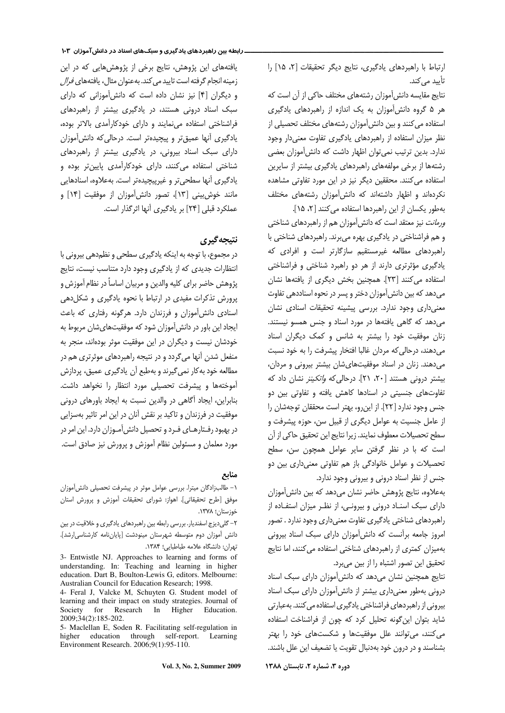رتباط با راهبردهای یادگیری، نتایج دیگر تحقیقات [۲، ۱۵] را تأييد مي كند.

نتايج مقايسه دانش آموزان رشتههاى مختلف حاكي از آن است كه هر ۵ گروه دانشآموزان به یک اندازه از راهبردهای یادگیری ستفاده می کنند و بین دانش آموزان رشتههای مختلف تحصیلی از نظر میزان استفاده از راهبردهای یادگیری تفاوت معنیدار وجود ندارد. بدین ترتیب نمی توان اظهار داشت که دانش آموزان بعضی رشتهها از برخی مولفههای راهبردهای یادگیری بیشتر از سایرین استفاده می کنند. محققین دیگر نیز در این مورد تفاوتی مشاهده نکردهاند و اظهار داشتهاند که دانشآموزان رشتههای مختلف بهطور يكسان از اين راهبردها استفاده ميكنند [۲، ۱۵].

*ورمانت* نیز معتقد است که دانش[موزان هم از راهبردهای شناختی و هم فراشناختی در یادگیری بهره میبرند. راهبردهای شناختی با راهبردهای مطالعه غیرمستقیم سازگارتر است و افرادی که بادگیری مؤثرتری دارند از هر دو راهبرد شناختی و فراشناختی ستفاده می کنند [٢٣]. همچنین بخش دیگری از یافتهها نشان می دهد که بین دانش آموزان دختر و پسر در نحوه اسناددهی تفاوت معنىدارى وجود ندارد. بررسى پيشينه تحقيقات اسنادى نشان می دهد که گاهی یافتهها در مورد اسناد و جنس همسو نیستند. زنان موفقیت خود را بیشتر به شانس و کمک دیگران اسناد میدهند، درحالی که مردان غالبا افتخار پیشرفت را به خود نسبت میدهند. زنان در اسناد موفقیتهایشان بیشتر بیرونی و مردان، بیشتر درونی هستند [۲۰، ۲۱]. درحالی که *واتکینز* نشان داد که نفاوتهای جنسیتی در اسنادها کاهش یافته و تفاوتی بین دو جنس وجود ندارد [٢٢]. از این رو، بهتر است محققان توجهشان را ز عامل جنسیت به عوامل دیگری از قبیل سن، حوزه پیشرفت و سطح تحصيلات معطوف نمايند. زيرا نتايج اين تحقيق حاكي از آن است كه با در نظر گرفتن ساير عوامل همچون سن، سطح نحصیلات و عوامل خانوادگی باز هم تفاوتی معنیداری بین دو جنس از نظر اسناد درونی و بیرونی وجود ندارد.

به علاوه، نتايج پژوهش حاضر نشان مي دهد كه بين دانش آموزان دارای سبک اسنـاد درونی و بیرونـی، از نظـر میزان استفـاده از راهبردهای شناختی یادگیری تفاوت معنیداری وجود ندارد . تصور مروز جامعه برآنست که دانشآموزان دارای سبک اسناد بیرونی بهمیزان کمتری از راهبردهای شناختی استفاده می کنند، اما نتایج نحقيق اين تصور اشتباه را از بين ميبرد.

نتایج همچنین نشان میدهد که دانش آموزان دارای سبک اسناد درونی بهطور معنیداری بیشتر از دانشآموزان دارای سبک اسناد بیرونی از راهبردهای فراشناختی یادگیری استفاده می کنند. بهعبارتی شاید بتوان این گونه تحلیل کرد که چون از فراشناخت استفاده میکنند، میتوانند علل موفقیتها و شکستهای خود را بهتر بشناسند و در درون خود بهدنبال تقويت يا تضعيف اين علل باشند.

#### ـــــــــــــــــــــــــــــــــــــــــــــــــــــــــــــــــ ـ رابطه بين راهبردهاي يادگيري و سبكهاي اسناد در دانشآموزان 103

یافتههای این پژوهش، نتایج برخی از پژوهشهایی که در این زمینه انجام گرفته است تایید می کند. بهعنوان مثال، یافتههای *فرال* و دیگران [۴] نیز نشان داده است که دانش آموزانی که دارای سبک اسناد درونی هستند، در یادگیری بیشتر از راهبردهای فراشناختی استفاده مینمایند و دارای خودکارآمدی بالاتر بوده، یادگیری آنها عمیقتر و پیچیدهتر است. درحالی که دانشآموزان دارای سبک اسناد بیرونی، در یادگیری بیشتر از راهبردهای شناختی استفاده میکنند، دارای خودکارآمدی پایینتر بوده و یادگیری آنها سطحیتر و غیرپیچیدهتر است. بهعلاوه، اسنادهایی مانند خوش.بینی [۱۳]، تصور دانش[موزان از موفقیت [۱۴] و عملكرد قبلي [٢۴] بر يادگيري آنها اثرگذار است.

### نتىجەگىرى

در مجموع، با توجه به اینکه یادگیری سطحی و نظم دهی بیرونی با انتظارات جدیدی که از یادگیری وجود دارد متناسب نیست، نتایج پژوهش حاضر برای کلیه والدین و مربیان اساساً در نظام آموزش و پرورش تذکرات مفیدی در ارتباط با نحوه یادگیری و شکلدهی اسنادی دانش[موزان و فرزندان دارد. هرگونه رفتاری که باعث ایجاد این باور در دانش[موزان شود که موفقیتهایشان مربوط به خودشان نیست و دیگران در این موفقیت موثر بودهاند، منجر به منفعل شدن آنها میگردد و در نتیجه راهبردهای موثرتری هم در مطالعه خود به کار نمی گیرند و بهطبع آن یادگیری عمیق، پردازش آموختهها و پیشرفت تحصیلی مورد انتظار را نخواهد داشت. بنابراين، ايجاد أكاهي در والدين نسبت به ايجاد باورهاي دروني موفقیت در فرزندان و تاکید بر نقش آنان در این امر تاثیر بهسزایی در بهبود رفـتارهـاي فـرد و تحصيل دانش[مـوزان دارد. اين امر در مورد معلمان و مسئولین نظام آموزش و پرورش نیز صادق است.

#### منابع

١- طالبزادگان ميترا. بررسي عوامل موثر در پيشرفت تحصيلي دانش آموزان موفق [طرح تحقيقاتي]. اهواز: شوراي تحقيقات آموزش و پرورش استان خوزستان؛ ۱۳۷۸.

۲- گلی دیزج اسفندیار. بررسی رابطه بین راهبردهای یادگیری و خلاقیت در بین دانش آموزان دوم متوسطه شهرستان مينودشت [پاياننامه كارشناسى ارشد]. نهران: دانشگاه علامه طباطبايي؛ ۱۳۸۴.

3- Entwistle NJ. Approaches to learning and forms of understanding. In: Teaching and learning in higher education. Dart B, Boulton-Lewis G, editors. Melbourne: Australian Council for Education Research; 1998.

4- Feral J, Valcke M, Schuyten G. Student model of learning and their impact on study strategies. Journal of Society for Research In Higher Education. 2009;34(2):185-202.

5- Maclellan E, Soden R. Facilitating self-regulation in higher education through self-report. Learning Environment Research. 2006;9(1):95-110.